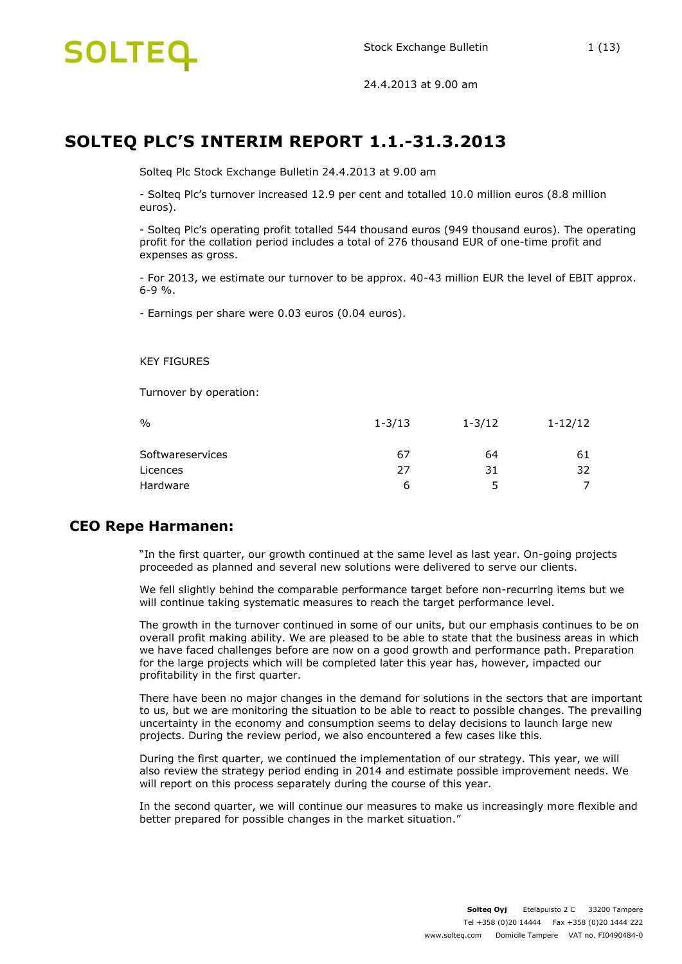

# **SOLTEQ PLC'S INTERIM REPORT 1.1.-31.3.2013**

Solteq Plc Stock Exchange Bulletin 24.4.2013 at 9.00 am

- Solteq Plc's turnover increased 12.9 per cent and totalled 10.0 million euros (8.8 million euros).

- Solteq Plc's operating profit totalled 544 thousand euros (949 thousand euros). The operating profit for the collation period includes a total of 276 thousand EUR of one-time profit and expenses as gross.

- For 2013, we estimate our turnover to be approx. 40-43 million EUR the level of EBIT approx. 6-9 %.

- Earnings per share were 0.03 euros (0.04 euros).

KEY FIGURES

Turnover by operation:

| $\frac{0}{0}$    | $1 - 3/13$ | $1 - 3/12$ | $1 - 12/12$ |
|------------------|------------|------------|-------------|
| Softwareservices | 67         | 64         | 61          |
| Licences         | 27         | 31         | 32          |
| Hardware         | 6          | 5          |             |

### **CEO Repe Harmanen:**

"In the first quarter, our growth continued at the same level as last year. On-going projects proceeded as planned and several new solutions were delivered to serve our clients.

We fell slightly behind the comparable performance target before non-recurring items but we will continue taking systematic measures to reach the target performance level.

The growth in the turnover continued in some of our units, but our emphasis continues to be on overall profit making ability. We are pleased to be able to state that the business areas in which we have faced challenges before are now on a good growth and performance path. Preparation for the large projects which will be completed later this year has, however, impacted our profitability in the first quarter.

There have been no major changes in the demand for solutions in the sectors that are important to us, but we are monitoring the situation to be able to react to possible changes. The prevailing uncertainty in the economy and consumption seems to delay decisions to launch large new projects. During the review period, we also encountered a few cases like this.

During the first quarter, we continued the implementation of our strategy. This year, we will also review the strategy period ending in 2014 and estimate possible improvement needs. We will report on this process separately during the course of this year.

In the second quarter, we will continue our measures to make us increasingly more flexible and better prepared for possible changes in the market situation."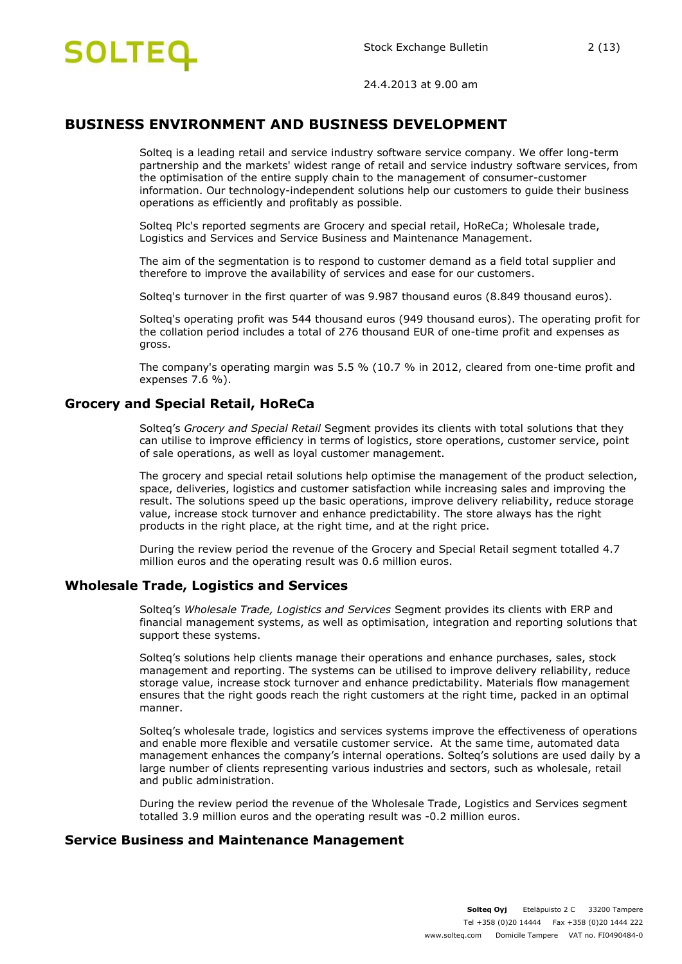

# **BUSINESS ENVIRONMENT AND BUSINESS DEVELOPMENT**

Solteq is a leading retail and service industry software service company. We offer long-term partnership and the markets' widest range of retail and service industry software services, from the optimisation of the entire supply chain to the management of consumer-customer information. Our technology-independent solutions help our customers to guide their business operations as efficiently and profitably as possible.

Solteq Plc's reported segments are Grocery and special retail, HoReCa; Wholesale trade, Logistics and Services and Service Business and Maintenance Management.

The aim of the segmentation is to respond to customer demand as a field total supplier and therefore to improve the availability of services and ease for our customers.

Solteq's turnover in the first quarter of was 9.987 thousand euros (8.849 thousand euros).

Solteq's operating profit was 544 thousand euros (949 thousand euros). The operating profit for the collation period includes a total of 276 thousand EUR of one-time profit and expenses as gross.

The company's operating margin was 5.5 % (10.7 % in 2012, cleared from one-time profit and expenses 7.6 %).

### **Grocery and Special Retail, HoReCa**

Solteq's *Grocery and Special Retail* Segment provides its clients with total solutions that they can utilise to improve efficiency in terms of logistics, store operations, customer service, point of sale operations, as well as loyal customer management.

The grocery and special retail solutions help optimise the management of the product selection, space, deliveries, logistics and customer satisfaction while increasing sales and improving the result. The solutions speed up the basic operations, improve delivery reliability, reduce storage value, increase stock turnover and enhance predictability. The store always has the right products in the right place, at the right time, and at the right price.

During the review period the revenue of the Grocery and Special Retail segment totalled 4.7 million euros and the operating result was 0.6 million euros.

### **Wholesale Trade, Logistics and Services**

Solteq's *Wholesale Trade, Logistics and Services* Segment provides its clients with ERP and financial management systems, as well as optimisation, integration and reporting solutions that support these systems.

Solteq's solutions help clients manage their operations and enhance purchases, sales, stock management and reporting. The systems can be utilised to improve delivery reliability, reduce storage value, increase stock turnover and enhance predictability. Materials flow management ensures that the right goods reach the right customers at the right time, packed in an optimal manner.

Solteq's wholesale trade, logistics and services systems improve the effectiveness of operations and enable more flexible and versatile customer service. At the same time, automated data management enhances the company's internal operations. Solteq's solutions are used daily by a large number of clients representing various industries and sectors, such as wholesale, retail and public administration.

During the review period the revenue of the Wholesale Trade, Logistics and Services segment totalled 3.9 million euros and the operating result was -0.2 million euros.

#### **Service Business and Maintenance Management**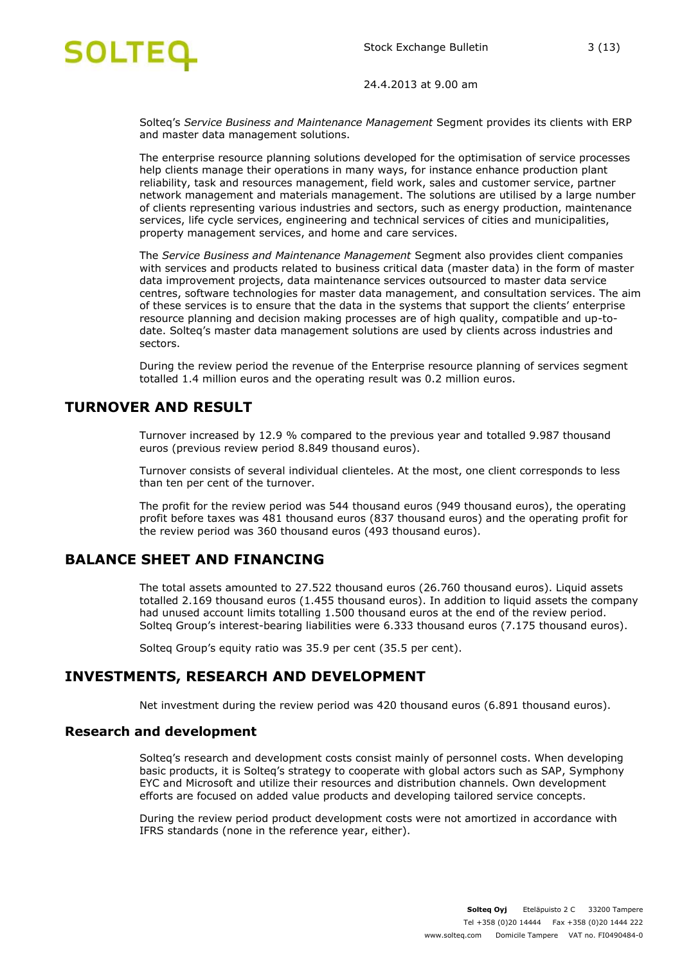

Solteq's *Service Business and Maintenance Management* Segment provides its clients with ERP and master data management solutions.

The enterprise resource planning solutions developed for the optimisation of service processes help clients manage their operations in many ways, for instance enhance production plant reliability, task and resources management, field work, sales and customer service, partner network management and materials management. The solutions are utilised by a large number of clients representing various industries and sectors, such as energy production, maintenance services, life cycle services, engineering and technical services of cities and municipalities, property management services, and home and care services.

The *Service Business and Maintenance Management* Segment also provides client companies with services and products related to business critical data (master data) in the form of master data improvement projects, data maintenance services outsourced to master data service centres, software technologies for master data management, and consultation services. The aim of these services is to ensure that the data in the systems that support the clients' enterprise resource planning and decision making processes are of high quality, compatible and up-todate. Solteq's master data management solutions are used by clients across industries and sectors.

During the review period the revenue of the Enterprise resource planning of services segment totalled 1.4 million euros and the operating result was 0.2 million euros.

## **TURNOVER AND RESULT**

Turnover increased by 12.9 % compared to the previous year and totalled 9.987 thousand euros (previous review period 8.849 thousand euros).

Turnover consists of several individual clienteles. At the most, one client corresponds to less than ten per cent of the turnover.

The profit for the review period was 544 thousand euros (949 thousand euros), the operating profit before taxes was 481 thousand euros (837 thousand euros) and the operating profit for the review period was 360 thousand euros (493 thousand euros).

# **BALANCE SHEET AND FINANCING**

The total assets amounted to 27.522 thousand euros (26.760 thousand euros). Liquid assets totalled 2.169 thousand euros (1.455 thousand euros). In addition to liquid assets the company had unused account limits totalling 1.500 thousand euros at the end of the review period. Solteq Group's interest-bearing liabilities were 6.333 thousand euros (7.175 thousand euros).

Solteq Group's equity ratio was 35.9 per cent (35.5 per cent).

# **INVESTMENTS, RESEARCH AND DEVELOPMENT**

Net investment during the review period was 420 thousand euros (6.891 thousand euros).

#### **Research and development**

Solteq's research and development costs consist mainly of personnel costs. When developing basic products, it is Solteq's strategy to cooperate with global actors such as SAP, Symphony EYC and Microsoft and utilize their resources and distribution channels. Own development efforts are focused on added value products and developing tailored service concepts.

During the review period product development costs were not amortized in accordance with IFRS standards (none in the reference year, either).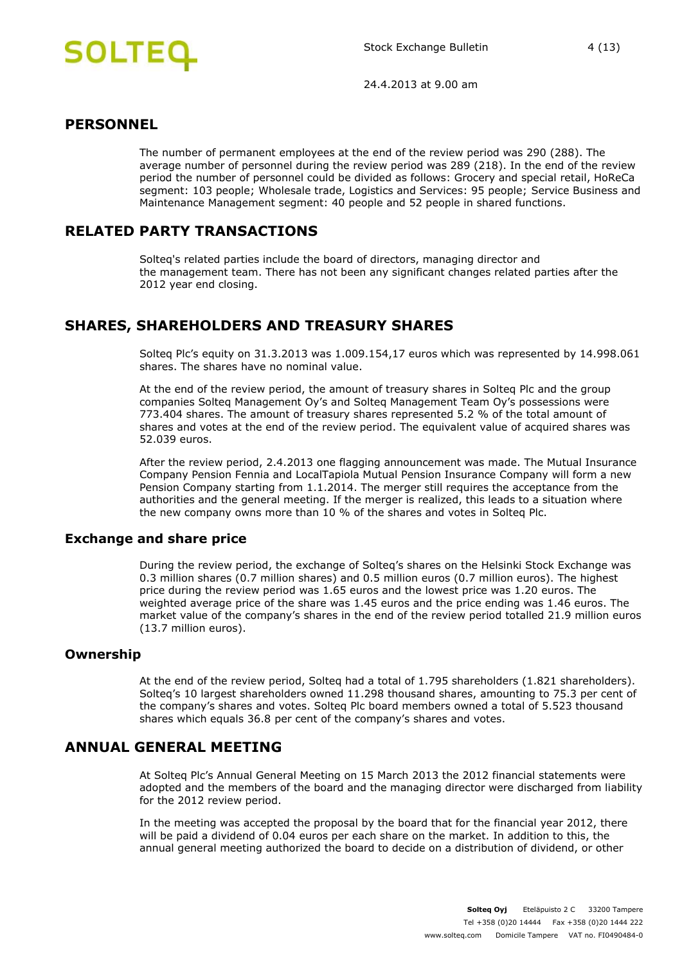

### **PERSONNEL**

The number of permanent employees at the end of the review period was 290 (288). The average number of personnel during the review period was 289 (218). In the end of the review period the number of personnel could be divided as follows: Grocery and special retail, HoReCa segment: 103 people; Wholesale trade, Logistics and Services: 95 people; Service Business and Maintenance Management segment: 40 people and 52 people in shared functions.

# **RELATED PARTY TRANSACTIONS**

Solteq's related parties include the board of directors, managing director and the management team. There has not been any significant changes related parties after the 2012 year end closing.

# **SHARES, SHAREHOLDERS AND TREASURY SHARES**

Solteq Plc's equity on 31.3.2013 was 1.009.154,17 euros which was represented by 14.998.061 shares. The shares have no nominal value.

At the end of the review period, the amount of treasury shares in Solteq Plc and the group companies Solteq Management Oy's and Solteq Management Team Oy's possessions were 773.404 shares. The amount of treasury shares represented 5.2 % of the total amount of shares and votes at the end of the review period. The equivalent value of acquired shares was 52.039 euros.

After the review period, 2.4.2013 one flagging announcement was made. The Mutual Insurance Company Pension Fennia and LocalTapiola Mutual Pension Insurance Company will form a new Pension Company starting from 1.1.2014. The merger still requires the acceptance from the authorities and the general meeting. If the merger is realized, this leads to a situation where the new company owns more than 10 % of the shares and votes in Solteq Plc.

### **Exchange and share price**

During the review period, the exchange of Solteq's shares on the Helsinki Stock Exchange was 0.3 million shares (0.7 million shares) and 0.5 million euros (0.7 million euros). The highest price during the review period was 1.65 euros and the lowest price was 1.20 euros. The weighted average price of the share was 1.45 euros and the price ending was 1.46 euros. The market value of the company's shares in the end of the review period totalled 21.9 million euros (13.7 million euros).

#### **Ownership**

At the end of the review period, Solteq had a total of 1.795 shareholders (1.821 shareholders). Solteq's 10 largest shareholders owned 11.298 thousand shares, amounting to 75.3 per cent of the company's shares and votes. Solteq Plc board members owned a total of 5.523 thousand shares which equals 36.8 per cent of the company's shares and votes.

# **ANNUAL GENERAL MEETING**

At Solteq Plc's Annual General Meeting on 15 March 2013 the 2012 financial statements were adopted and the members of the board and the managing director were discharged from liability for the 2012 review period.

In the meeting was accepted the proposal by the board that for the financial year 2012, there will be paid a dividend of 0.04 euros per each share on the market. In addition to this, the annual general meeting authorized the board to decide on a distribution of dividend, or other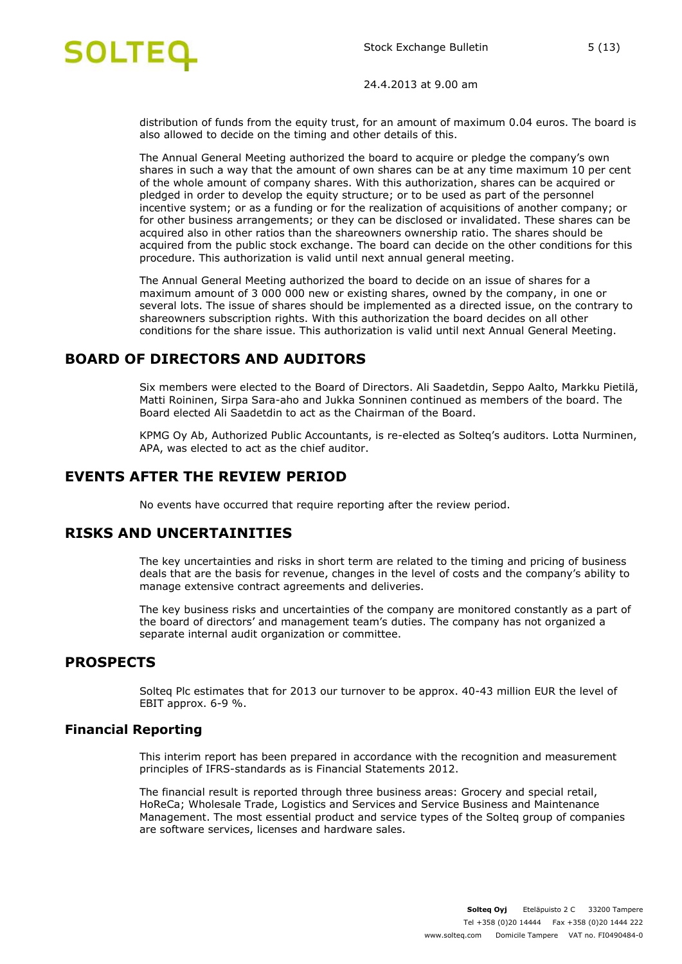

distribution of funds from the equity trust, for an amount of maximum 0.04 euros. The board is also allowed to decide on the timing and other details of this.

The Annual General Meeting authorized the board to acquire or pledge the company's own shares in such a way that the amount of own shares can be at any time maximum 10 per cent of the whole amount of company shares. With this authorization, shares can be acquired or pledged in order to develop the equity structure; or to be used as part of the personnel incentive system; or as a funding or for the realization of acquisitions of another company; or for other business arrangements; or they can be disclosed or invalidated. These shares can be acquired also in other ratios than the shareowners ownership ratio. The shares should be acquired from the public stock exchange. The board can decide on the other conditions for this procedure. This authorization is valid until next annual general meeting.

The Annual General Meeting authorized the board to decide on an issue of shares for a maximum amount of 3 000 000 new or existing shares, owned by the company, in one or several lots. The issue of shares should be implemented as a directed issue, on the contrary to shareowners subscription rights. With this authorization the board decides on all other conditions for the share issue. This authorization is valid until next Annual General Meeting.

# **BOARD OF DIRECTORS AND AUDITORS**

Six members were elected to the Board of Directors. Ali Saadetdin, Seppo Aalto, Markku Pietilä, Matti Roininen, Sirpa Sara-aho and Jukka Sonninen continued as members of the board. The Board elected Ali Saadetdin to act as the Chairman of the Board.

KPMG Oy Ab, Authorized Public Accountants, is re-elected as Solteq's auditors. Lotta Nurminen, APA, was elected to act as the chief auditor.

# **EVENTS AFTER THE REVIEW PERIOD**

No events have occurred that require reporting after the review period.

### **RISKS AND UNCERTAINITIES**

The key uncertainties and risks in short term are related to the timing and pricing of business deals that are the basis for revenue, changes in the level of costs and the company's ability to manage extensive contract agreements and deliveries.

The key business risks and uncertainties of the company are monitored constantly as a part of the board of directors' and management team's duties. The company has not organized a separate internal audit organization or committee.

### **PROSPECTS**

Solteq Plc estimates that for 2013 our turnover to be approx. 40-43 million EUR the level of EBIT approx. 6-9 %.

#### **Financial Reporting**

This interim report has been prepared in accordance with the recognition and measurement principles of IFRS-standards as is Financial Statements 2012.

The financial result is reported through three business areas: Grocery and special retail, HoReCa; Wholesale Trade, Logistics and Services and Service Business and Maintenance Management. The most essential product and service types of the Solteq group of companies are software services, licenses and hardware sales.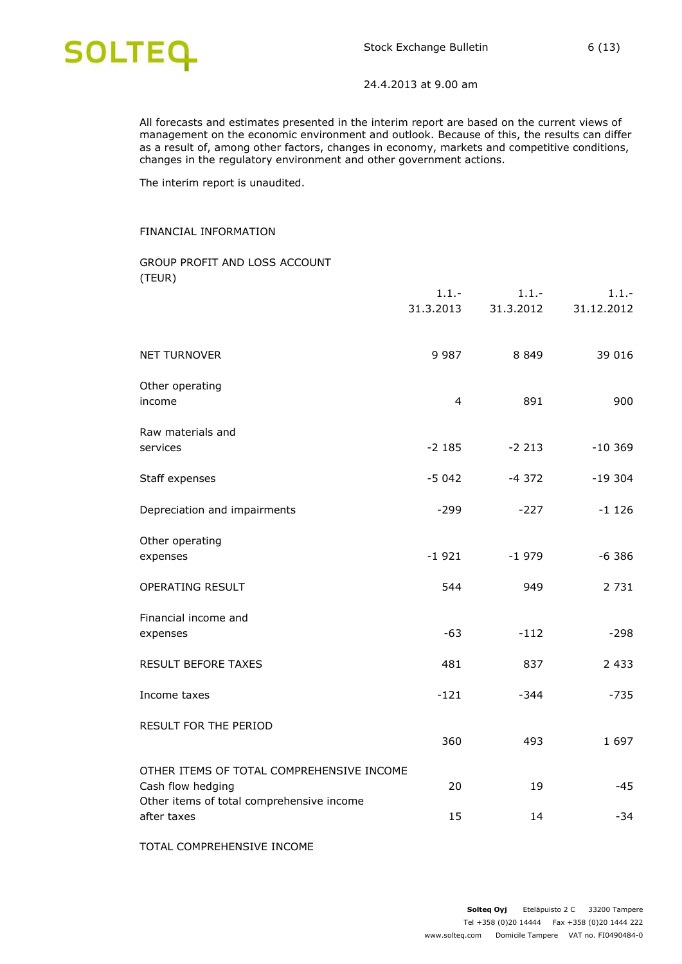

All forecasts and estimates presented in the interim report are based on the current views of management on the economic environment and outlook. Because of this, the results can differ as a result of, among other factors, changes in economy, markets and competitive conditions, changes in the regulatory environment and other government actions.

The interim report is unaudited.

#### FINANCIAL INFORMATION

#### GROUP PROFIT AND LOSS ACCOUNT (TEUR)

|                                                                | $1.1 -$<br>31.3.2013 | $1.1 -$<br>31.3.2012 | $1.1 -$<br>31.12.2012 |
|----------------------------------------------------------------|----------------------|----------------------|-----------------------|
| <b>NET TURNOVER</b>                                            | 9 9 8 7              | 8 8 4 9              | 39 016                |
| Other operating<br>income                                      | 4                    | 891                  | 900                   |
| Raw materials and<br>services                                  | $-2185$              | $-2213$              | $-10.369$             |
| Staff expenses                                                 | $-5042$              | $-4372$              | $-19304$              |
| Depreciation and impairments                                   | $-299$               | $-227$               | $-1126$               |
| Other operating<br>expenses                                    | $-1921$              | $-1979$              | $-6386$               |
| OPERATING RESULT                                               | 544                  | 949                  | 2 7 3 1               |
| Financial income and<br>expenses                               | $-63$                | $-112$               | $-298$                |
| <b>RESULT BEFORE TAXES</b>                                     | 481                  | 837                  | 2 4 3 3               |
| Income taxes                                                   | $-121$               | -344                 | $-735$                |
| RESULT FOR THE PERIOD                                          | 360                  | 493                  | 1 6 9 7               |
| OTHER ITEMS OF TOTAL COMPREHENSIVE INCOME<br>Cash flow hedging | 20                   | 19                   | $-45$                 |
| Other items of total comprehensive income<br>after taxes       | 15                   | 14                   | $-34$                 |
|                                                                |                      |                      |                       |

TOTAL COMPREHENSIVE INCOME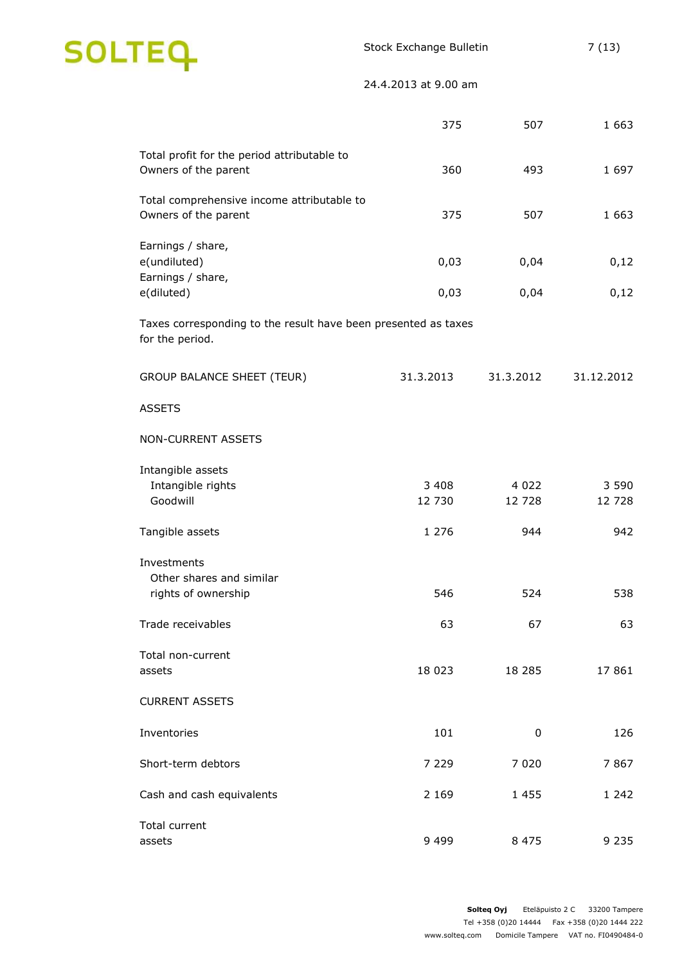

|                                                                                   | 375               | 507               | 1 6 6 3           |
|-----------------------------------------------------------------------------------|-------------------|-------------------|-------------------|
| Total profit for the period attributable to<br>Owners of the parent               | 360               | 493               | 1 6 9 7           |
| Total comprehensive income attributable to<br>Owners of the parent                | 375               | 507               | 1 6 6 3           |
| Earnings / share,<br>e(undiluted)<br>Earnings / share,                            | 0,03              | 0,04              | 0,12              |
| e(diluted)                                                                        | 0,03              | 0,04              | 0,12              |
| Taxes corresponding to the result have been presented as taxes<br>for the period. |                   |                   |                   |
| <b>GROUP BALANCE SHEET (TEUR)</b>                                                 | 31.3.2013         | 31.3.2012         | 31.12.2012        |
| <b>ASSETS</b>                                                                     |                   |                   |                   |
| NON-CURRENT ASSETS                                                                |                   |                   |                   |
| Intangible assets<br>Intangible rights<br>Goodwill                                | 3 4 0 8<br>12 730 | 4 0 2 2<br>12 728 | 3 5 9 0<br>12 728 |
| Tangible assets                                                                   | 1 2 7 6           | 944               | 942               |
| Investments<br>Other shares and similar<br>rights of ownership                    | 546               | 524               | 538               |
| Trade receivables                                                                 | 63                | 67                | 63                |
| Total non-current<br>assets                                                       | 18 0 23           | 18 285            | 17861             |
| <b>CURRENT ASSETS</b>                                                             |                   |                   |                   |
| Inventories                                                                       | 101               | 0                 | 126               |
| Short-term debtors                                                                | 7 2 2 9           | 7 0 2 0           | 7867              |
| Cash and cash equivalents                                                         | 2 1 6 9           | 1 4 5 5           | 1 242             |
| Total current<br>assets                                                           | 9 4 9 9           | 8 4 7 5           | 9 2 3 5           |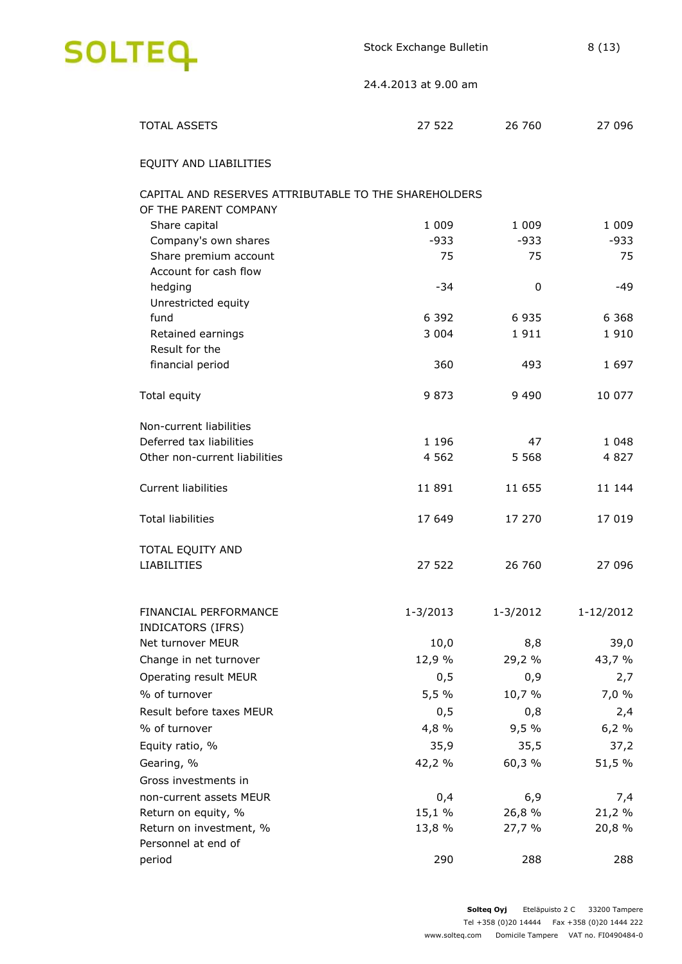

| <b>TOTAL ASSETS</b>                                   | 27 522       | 26 760   | 27 096    |
|-------------------------------------------------------|--------------|----------|-----------|
| EQUITY AND LIABILITIES                                |              |          |           |
| CAPITAL AND RESERVES ATTRIBUTABLE TO THE SHAREHOLDERS |              |          |           |
| OF THE PARENT COMPANY                                 |              |          |           |
| Share capital                                         | 1 0 0 9      | 1 0 0 9  | 1 0 0 9   |
| Company's own shares                                  | $-933$       | $-933$   | $-933$    |
| Share premium account                                 | 75           | 75       | 75        |
| Account for cash flow                                 |              |          |           |
| hedging                                               | $-34$        | 0        | -49       |
| Unrestricted equity                                   |              |          |           |
| fund                                                  | 6 3 9 2      | 6935     | 6 3 6 8   |
| Retained earnings                                     | 3 0 0 4      | 1911     | 1910      |
| Result for the                                        | 360          | 493      | 1697      |
| financial period                                      |              |          |           |
| Total equity                                          | 9873         | 9 4 9 0  | 10 077    |
| Non-current liabilities                               |              |          |           |
| Deferred tax liabilities                              | 1 1 9 6      | 47       | 1 0 4 8   |
| Other non-current liabilities                         | 4 5 6 2      | 5 5 6 8  | 4827      |
|                                                       |              |          |           |
| <b>Current liabilities</b>                            | 11 891       | 11 655   | 11 144    |
| <b>Total liabilities</b>                              | 17 649       | 17 270   | 17 019    |
| TOTAL EQUITY AND                                      |              |          |           |
| <b>LIABILITIES</b>                                    | 27 522       | 26 760   | 27 096    |
|                                                       |              |          |           |
| <b>FINANCIAL PERFORMANCE</b>                          | $1 - 3/2013$ | 1-3/2012 | 1-12/2012 |
| INDICATORS (IFRS)                                     |              |          |           |
| Net turnover MEUR                                     | 10,0         | 8,8      | 39,0      |
| Change in net turnover                                | 12,9 %       | 29,2 %   | 43,7 %    |
| Operating result MEUR                                 | 0,5          | 0,9      | 2,7       |
| % of turnover                                         | 5,5 %        | 10,7 %   | 7,0 %     |
| Result before taxes MEUR                              | 0,5          | 0,8      | 2,4       |
| % of turnover                                         | 4,8 %        | 9,5%     | 6,2%      |
| Equity ratio, %                                       | 35,9         | 35,5     | 37,2      |
| Gearing, %                                            | 42,2 %       | 60,3 %   | 51,5 %    |
| Gross investments in                                  |              |          |           |
| non-current assets MEUR                               | 0,4          | 6,9      | 7,4       |
| Return on equity, %                                   | 15,1%        | 26,8 %   | 21,2 %    |
| Return on investment, %                               | 13,8 %       | 27,7 %   | 20,8 %    |
| Personnel at end of                                   |              |          |           |
| period                                                | 290          | 288      | 288       |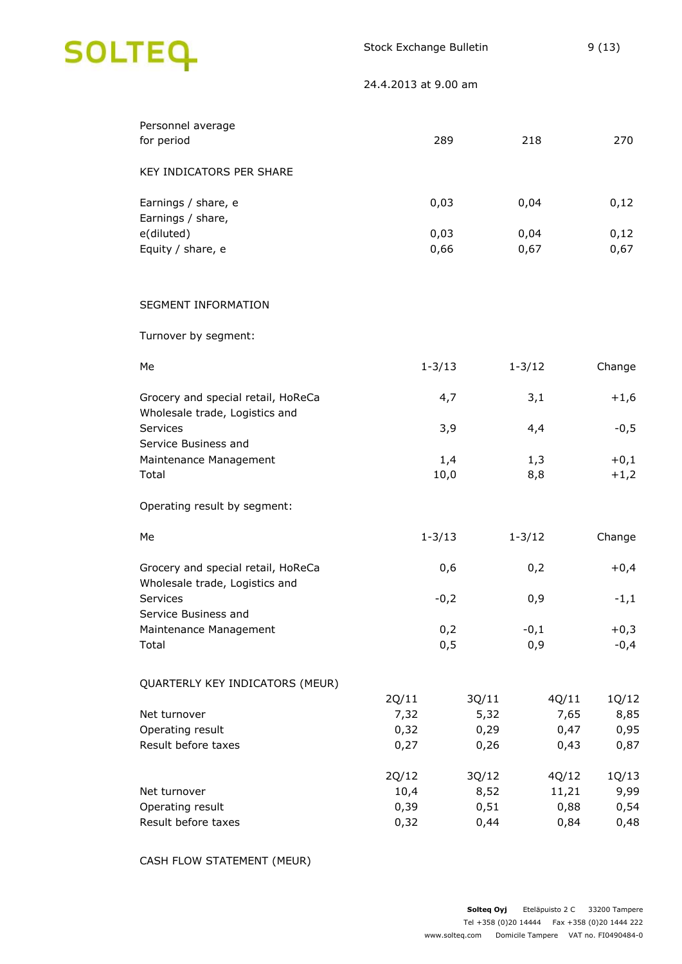| Personnel average<br>for period                                      | 289           | 218           | 270                            |
|----------------------------------------------------------------------|---------------|---------------|--------------------------------|
| KEY INDICATORS PER SHARE                                             |               |               |                                |
| Earnings / share, e<br>Earnings / share,                             | 0,03          | 0,04          | 0,12                           |
| e(diluted)                                                           | 0,03          | 0,04          | 0,12                           |
| Equity / share, e                                                    | 0,66          | 0,67          | 0,67                           |
| SEGMENT INFORMATION                                                  |               |               |                                |
| Turnover by segment:                                                 |               |               |                                |
| Me                                                                   | $1 - 3/13$    | $1 - 3/12$    | Change                         |
| Grocery and special retail, HoReCa<br>Wholesale trade, Logistics and | 4,7           | 3,1           | $+1,6$                         |
| Services<br>Service Business and                                     | 3,9           | 4,4           | $-0,5$                         |
| Maintenance Management                                               | 1,4           | 1,3           | $+0,1$                         |
| Total                                                                | 10,0          | 8,8           | $+1,2$                         |
| Operating result by segment:                                         |               |               |                                |
| Me                                                                   | $1 - 3/13$    | $1 - 3/12$    | Change                         |
| Grocery and special retail, HoReCa<br>Wholesale trade, Logistics and | 0,6           | 0,2           | $+0,4$                         |
| Services<br>Service Business and                                     | $-0,2$        | 0,9           | $-1,1$                         |
| Maintenance Management                                               | 0,2           | $-0,1$        | $+0,3$                         |
| Total                                                                | 0,5           | 0,9           | $-0,4$                         |
| QUARTERLY KEY INDICATORS (MEUR)                                      |               |               |                                |
| Net turnover                                                         | 2Q/11<br>7,32 | 3Q/11<br>5,32 | 4Q/11<br>1Q/12<br>8,85<br>7,65 |
| Operating result                                                     | 0,32          | 0,29          | 0,47<br>0,95                   |
| Result before taxes                                                  | 0,27          | 0,26          | 0,87<br>0,43                   |
|                                                                      | 2Q/12         | 3Q/12         | 4Q/12<br>1Q/13                 |
| Net turnover<br>Operating result                                     | 10,4<br>0,39  | 8,52<br>0,51  | 9,99<br>11,21<br>0,88<br>0,54  |
| Result before taxes                                                  | 0,32          | 0,44          | 0,84<br>0,48                   |
|                                                                      |               |               |                                |

CASH FLOW STATEMENT (MEUR)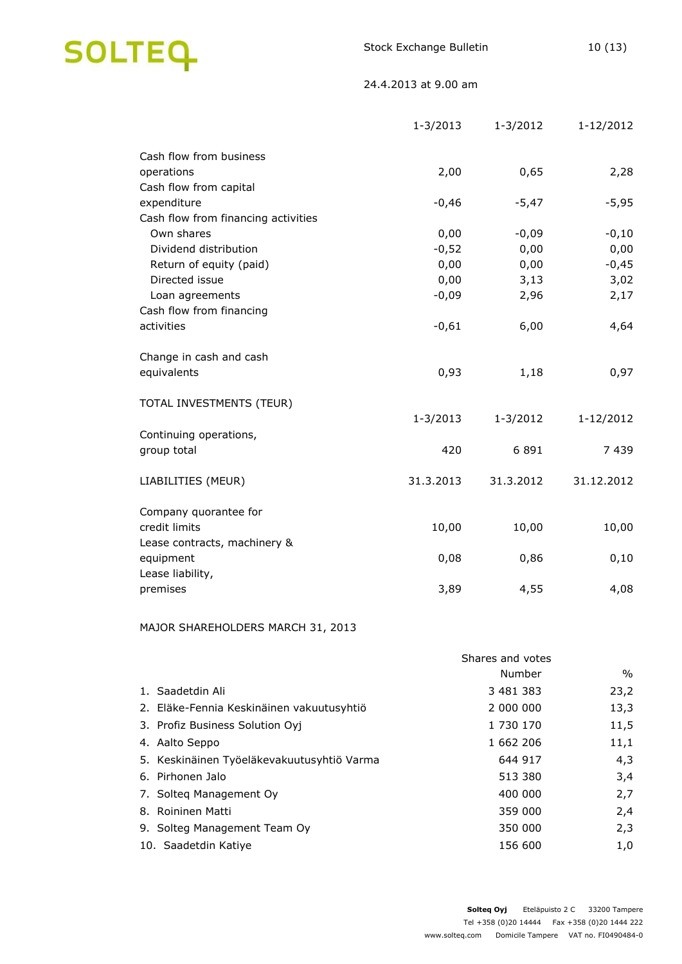

|                                     | $1 - 3/2013$ | $1 - 3/2012$ | 1-12/2012  |
|-------------------------------------|--------------|--------------|------------|
| Cash flow from business             |              |              |            |
| operations                          | 2,00         | 0,65         | 2,28       |
| Cash flow from capital              |              |              |            |
| expenditure                         | $-0,46$      | $-5,47$      | $-5,95$    |
| Cash flow from financing activities |              |              |            |
| Own shares                          | 0,00         | $-0,09$      | $-0,10$    |
| Dividend distribution               | $-0,52$      | 0,00         | 0,00       |
| Return of equity (paid)             | 0,00         | 0,00         | $-0,45$    |
| Directed issue                      | 0,00         | 3,13         | 3,02       |
| Loan agreements                     | $-0,09$      | 2,96         | 2,17       |
| Cash flow from financing            |              |              |            |
| activities                          | $-0,61$      | 6,00         | 4,64       |
| Change in cash and cash             |              |              |            |
| equivalents                         | 0,93         | 1,18         | 0,97       |
|                                     |              |              |            |
| TOTAL INVESTMENTS (TEUR)            |              |              |            |
|                                     | $1 - 3/2013$ | $1 - 3/2012$ | 1-12/2012  |
| Continuing operations,              |              |              |            |
| group total                         | 420          | 6891         | 7439       |
| LIABILITIES (MEUR)                  | 31.3.2013    | 31.3.2012    | 31.12.2012 |
| Company quorantee for               |              |              |            |
| credit limits                       | 10,00        | 10,00        | 10,00      |
| Lease contracts, machinery &        |              |              |            |
| equipment                           | 0,08         | 0,86         | 0,10       |
| Lease liability,                    |              |              |            |
| premises                            | 3,89         | 4,55         | 4,08       |

### MAJOR SHAREHOLDERS MARCH 31, 2013

|                                            | Shares and votes |               |  |  |
|--------------------------------------------|------------------|---------------|--|--|
|                                            | Number           | $\frac{0}{0}$ |  |  |
| 1. Saadetdin Ali                           | 3 481 383        | 23,2          |  |  |
| 2. Eläke-Fennia Keskinäinen vakuutusyhtiö  | 2 000 000        | 13,3          |  |  |
| 3. Profiz Business Solution Oyj            | 1 730 170        | 11,5          |  |  |
| 4. Aalto Seppo                             | 1 662 206        | 11,1          |  |  |
| 5. Keskinäinen Työeläkevakuutusyhtiö Varma | 644 917          | 4,3           |  |  |
| 6. Pirhonen Jalo                           | 513 380          | 3,4           |  |  |
| 7. Solteg Management Oy                    | 400 000          | 2,7           |  |  |
| 8. Roininen Matti                          | 359 000          | 2,4           |  |  |
| 9. Solteg Management Team Oy               | 350 000          | 2,3           |  |  |
| 10. Saadetdin Katiye                       | 156 600          | 1,0           |  |  |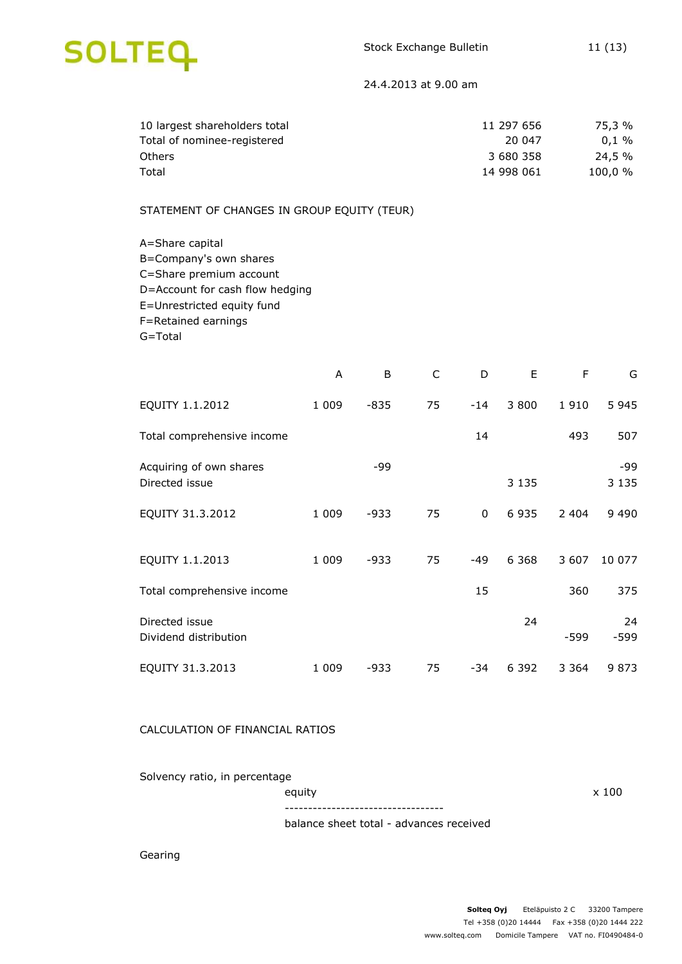

| 10 largest shareholders total | 11 297 656 | 75,3 %     |
|-------------------------------|------------|------------|
| Total of nominee-registered   | 20 047     | $0.1\%$    |
| <b>Others</b>                 | 3 680 358  | 24,5 %     |
| Total                         | 14 998 061 | $100.0 \%$ |

#### STATEMENT OF CHANGES IN GROUP EQUITY (TEUR)

A=Share capital B=Company's own shares C=Share premium account D=Account for cash flow hedging E=Unrestricted equity fund F=Retained earnings G=Total

|                                           | A       | B      | C  | D     | Е       | F       | G              |
|-------------------------------------------|---------|--------|----|-------|---------|---------|----------------|
| EQUITY 1.1.2012                           | 1 0 0 9 | $-835$ | 75 | $-14$ | 3 800   | 1910    | 5 9 4 5        |
| Total comprehensive income                |         |        |    | 14    |         | 493     | 507            |
| Acquiring of own shares<br>Directed issue |         | -99    |    |       | 3 1 3 5 |         | -99<br>3 1 3 5 |
| EQUITY 31.3.2012                          | 1 0 0 9 | -933   | 75 | 0     | 6935    | 2 4 0 4 | 9 4 9 0        |
| EQUITY 1.1.2013                           | 1 0 0 9 | $-933$ | 75 | $-49$ | 6 3 6 8 | 3 607   | 10 077         |
| Total comprehensive income                |         |        |    | 15    |         | 360     | 375            |
| Directed issue<br>Dividend distribution   |         |        |    |       | 24      | -599    | 24<br>$-599$   |
| EQUITY 31.3.2013                          | 1 0 0 9 | -933   | 75 | -34   | 6 3 9 2 | 3 3 6 4 | 9873           |

#### CALCULATION OF FINANCIAL RATIOS

Solvency ratio, in percentage

equity x 100 ----------------------------------

balance sheet total - advances received

Gearing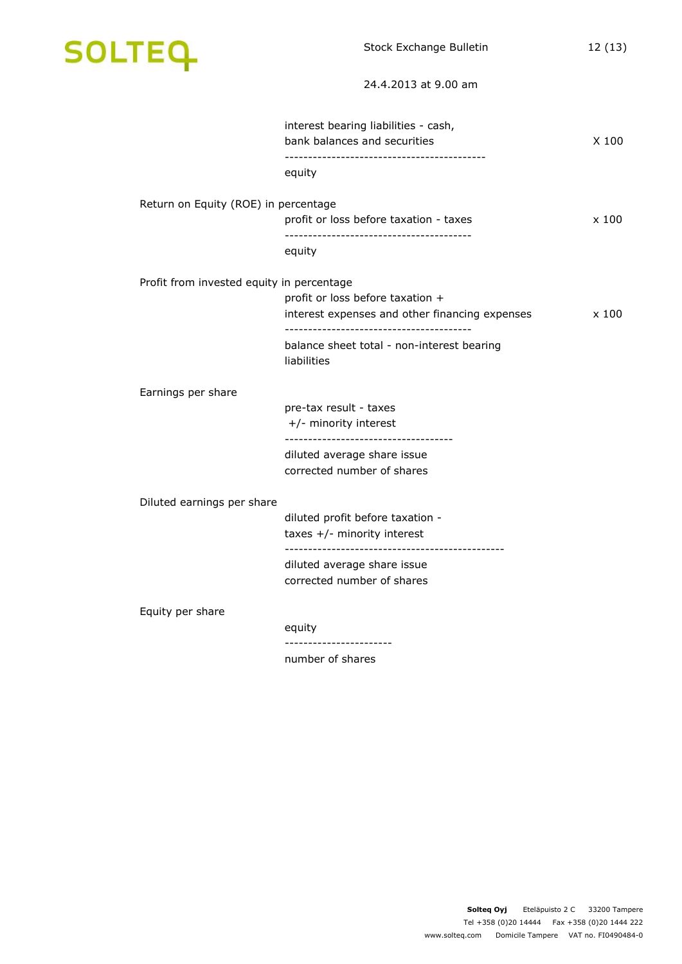

| interest bearing liabilities - cash,<br>bank balances and securities | $X$ 100                                                                                                                                                                           |
|----------------------------------------------------------------------|-----------------------------------------------------------------------------------------------------------------------------------------------------------------------------------|
| equity                                                               |                                                                                                                                                                                   |
| Return on Equity (ROE) in percentage                                 |                                                                                                                                                                                   |
| profit or loss before taxation - taxes                               | x100                                                                                                                                                                              |
| equity                                                               |                                                                                                                                                                                   |
| Profit from invested equity in percentage                            |                                                                                                                                                                                   |
| profit or loss before taxation +                                     |                                                                                                                                                                                   |
|                                                                      | x 100                                                                                                                                                                             |
| balance sheet total - non-interest bearing<br>liabilities            |                                                                                                                                                                                   |
|                                                                      |                                                                                                                                                                                   |
| pre-tax result - taxes                                               |                                                                                                                                                                                   |
| +/- minority interest                                                |                                                                                                                                                                                   |
|                                                                      |                                                                                                                                                                                   |
| corrected number of shares                                           |                                                                                                                                                                                   |
| Diluted earnings per share                                           |                                                                                                                                                                                   |
| diluted profit before taxation -                                     |                                                                                                                                                                                   |
| taxes $+/-$ minority interest                                        |                                                                                                                                                                                   |
|                                                                      |                                                                                                                                                                                   |
| corrected number of shares                                           |                                                                                                                                                                                   |
|                                                                      |                                                                                                                                                                                   |
| equity                                                               |                                                                                                                                                                                   |
| number of shares                                                     |                                                                                                                                                                                   |
|                                                                      | interest expenses and other financing expenses<br>--------------------------------------<br>diluted average share issue<br>diluted average share issue<br>----------------------- |